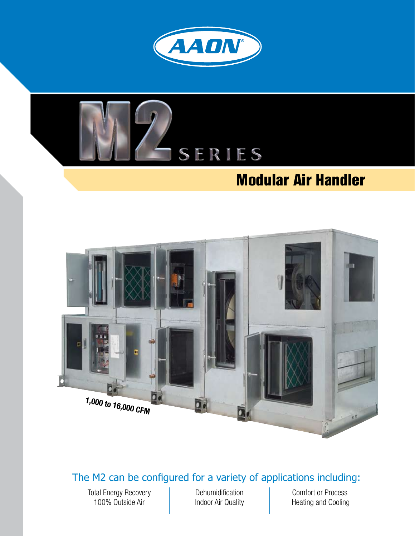



## **Modular Air Handler**



#### The M2 can be configured for a variety of applications including:

Total Energy Recovery 100% Outside Air

Dehumidification Indoor Air Quality Comfort or Process Heating and Cooling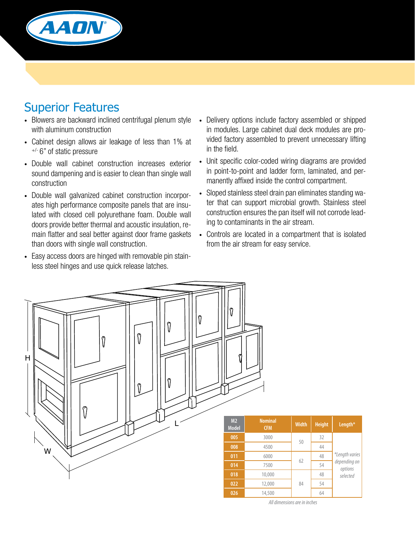

### Superior Features

- Blowers are backward inclined centrifugal plenum style with aluminum construction
- Cabinet design allows air leakage of less than 1% at +/- 6" of static pressure
- • Double wall cabinet construction increases exterior sound dampening and is easier to clean than single wall construction
- Double wall galvanized cabinet construction incorporates high performance composite panels that are insulated with closed cell polyurethane foam. Double wall doors provide better thermal and acoustic insulation, remain flatter and seal better against door frame gaskets than doors with single wall construction.
- Easy access doors are hinged with removable pin stainless steel hinges and use quick release latches.
- Delivery options include factory assembled or shipped in modules. Large cabinet dual deck modules are provided factory assembled to prevent unnecessary lifting in the field.
- Unit specific color-coded wiring diagrams are provided in point-to-point and ladder form, laminated, and permanently affixed inside the control compartment.
- Sloped stainless steel drain pan eliminates standing water that can support microbial growth. Stainless steel construction ensures the pan itself will not corrode leading to contaminants in the air stream.
- Controls are located in a compartment that is isolated from the air stream for easy service.



*All dimensions are in inches*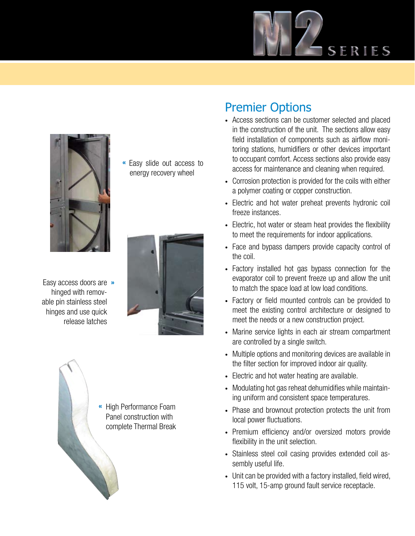



**«** Easy slide out access to energy recovery wheel

Easy access doors are **»**hinged with removable pin stainless steel hinges and use quick release latches





#### Premier Options

- Access sections can be customer selected and placed in the construction of the unit. The sections allow easy field installation of components such as airflow monitoring stations, humidifiers or other devices important to occupant comfort. Access sections also provide easy access for maintenance and cleaning when required.
- Corrosion protection is provided for the coils with either a polymer coating or copper construction.
- Electric and hot water preheat prevents hydronic coil freeze instances.
- Electric, hot water or steam heat provides the flexibility to meet the requirements for indoor applications.
- Face and bypass dampers provide capacity control of the coil.
- Factory installed hot gas bypass connection for the evaporator coil to prevent freeze up and allow the unit to match the space load at low load conditions.
- Factory or field mounted controls can be provided to meet the existing control architecture or designed to meet the needs or a new construction project.
- Marine service lights in each air stream compartment are controlled by a single switch.
- Multiple options and monitoring devices are available in the filter section for improved indoor air quality.
- Electric and hot water heating are available.
- Modulating hot gas reheat dehumidifies while maintaining uniform and consistent space temperatures.
- Phase and brownout protection protects the unit from local power fluctuations.
- Premium efficiency and/or oversized motors provide flexibility in the unit selection.
- Stainless steel coil casing provides extended coil assembly useful life.
- Unit can be provided with a factory installed, field wired, 115 volt, 15-amp ground fault service receptacle.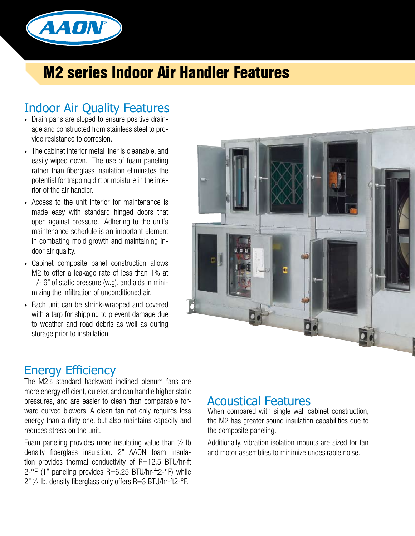

## **M2 series Indoor Air Handler Features**

#### Indoor Air Quality Features

- Drain pans are sloped to ensure positive drainage and constructed from stainless steel to provide resistance to corrosion.
- The cabinet interior metal liner is cleanable, and easily wiped down. The use of foam paneling rather than fiberglass insulation eliminates the potential for trapping dirt or moisture in the interior of the air handler.
- Access to the unit interior for maintenance is made easy with standard hinged doors that open against pressure. Adhering to the unit's maintenance schedule is an important element in combating mold growth and maintaining indoor air quality.
- Cabinet composite panel construction allows M2 to offer a leakage rate of less than 1% at  $+/-$  6" of static pressure (w.g), and aids in minimizing the infiltration of unconditioned air.
- Each unit can be shrink-wrapped and covered with a tarp for shipping to prevent damage due to weather and road debris as well as during storage prior to installation.



#### Energy Efficiency

The M2's standard backward inclined plenum fans are more energy efficient, quieter, and can handle higher static pressures, and are easier to clean than comparable forward curved blowers. A clean fan not only requires less energy than a dirty one, but also maintains capacity and reduces stress on the unit.

Foam paneling provides more insulating value than ½ lb density fiberglass insulation. 2" AAON foam insulation provides thermal conductivity of R=12.5 BTU/hr-ft 2-°F (1" paneling provides R=6.25 BTU/hr-ft2-°F) while 2" ½ lb. density fiberglass only offers R=3 BTU/hr-ft2-°F.

#### Acoustical Features

When compared with single wall cabinet construction, the M2 has greater sound insulation capabilities due to the composite paneling.

Additionally, vibration isolation mounts are sized for fan and motor assemblies to minimize undesirable noise.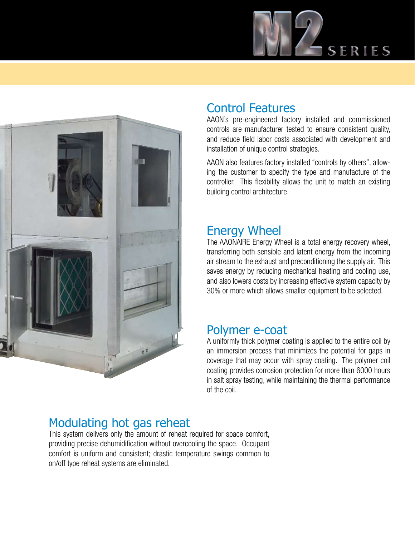



#### Control Features

AAON's pre-engineered factory installed and commissioned controls are manufacturer tested to ensure consistent quality, and reduce field labor costs associated with development and installation of unique control strategies.

AAON also features factory installed "controls by others", allowing the customer to specify the type and manufacture of the controller. This flexibility allows the unit to match an existing building control architecture.

#### Energy Wheel

The AAONAIRE Energy Wheel is a total energy recovery wheel, transferring both sensible and latent energy from the incoming air stream to the exhaust and preconditioning the supply air. This saves energy by reducing mechanical heating and cooling use, and also lowers costs by increasing effective system capacity by 30% or more which allows smaller equipment to be selected.

#### Polymer e-coat

A uniformly thick polymer coating is applied to the entire coil by an immersion process that minimizes the potential for gaps in coverage that may occur with spray coating. The polymer coil coating provides corrosion protection for more than 6000 hours in salt spray testing, while maintaining the thermal performance of the coil.

### Modulating hot gas reheat

This system delivers only the amount of reheat required for space comfort, providing precise dehumidification without overcooling the space. Occupant comfort is uniform and consistent; drastic temperature swings common to on/off type reheat systems are eliminated.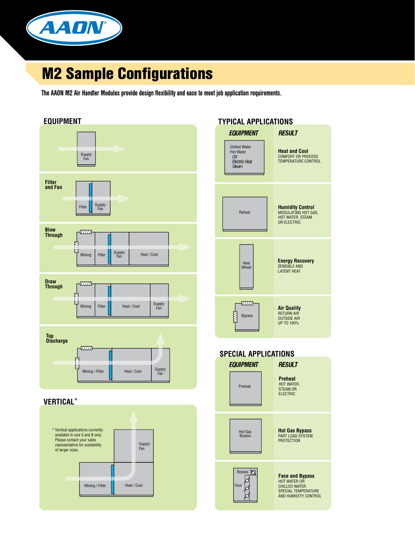

## **M2 Sample Configurations**

The AAON M2 Air Handler Modules provide design flexibility and ease to meet job application requirements.



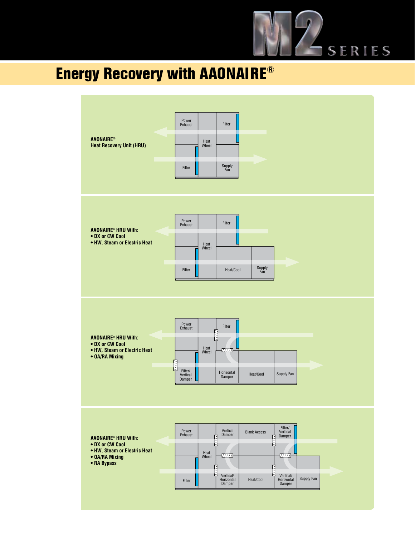

# **Energy Recovery with AAONAIRE®**

| <b>AAONAIRE®</b><br><b>Heat Recovery Unit (HRU)</b>                                                            | Power<br>Filter<br>Exhaust<br>Heat<br>Wheel<br>Supply<br>Fan<br>Filter                                                                                                                                                                                                                                       |
|----------------------------------------------------------------------------------------------------------------|--------------------------------------------------------------------------------------------------------------------------------------------------------------------------------------------------------------------------------------------------------------------------------------------------------------|
| <b>AAONAIRE® HRU With:</b><br>• DX or CW Cool<br>• HW, Steam or Electric Heat                                  | Power<br>Exhaust<br>Filter<br>Heat<br>Wheel<br>Supply<br>Fan<br>Filter<br>Heat/Cool                                                                                                                                                                                                                          |
| <b>AAONAIRE® HRU With:</b><br>• DX or CW Cool<br>• HW, Steam or Electric Heat<br>• OA/RA Mixing                | Power<br>Exhaust<br>Filter<br>7<br>日<br>Heat<br>Wheel<br>-7777<br><b>AND</b><br>Filter/<br>Vertical<br>Damper<br>Horizontal<br>Damper<br>Supply Fan<br>Heat/Cool                                                                                                                                             |
| <b>AAONAIRE® HRU With:</b><br>• DX or CW Cool<br>• HW, Steam or Electric Heat<br>• OA/RA Mixing<br>• RA Bypass | Filter/<br>Vertical<br>Damper<br>Vertical<br>Damper<br>Power<br>Exhaust<br><b>Blank Access</b><br>N<br>R<br>ط<br>Ŋ<br>Heat<br>Wheel<br>- <i>077</i> 17<br>- <i>077 17</i><br>白<br>리<br>ط<br>Vertical/<br>Horizontal<br>Damper<br>ط<br>Vertical/<br>Horizontal<br>Damper<br>Supply Fan<br>Heat/Cool<br>Filter |